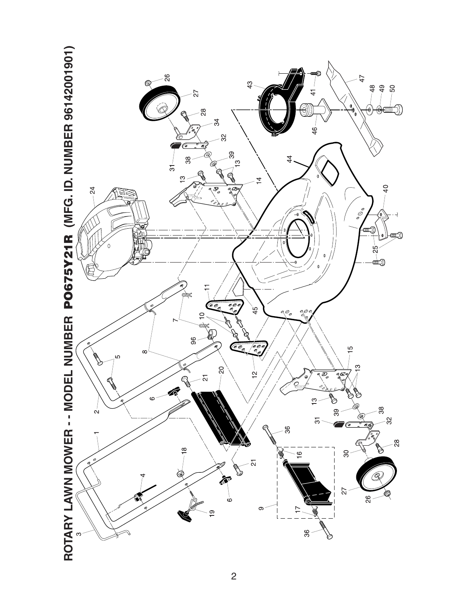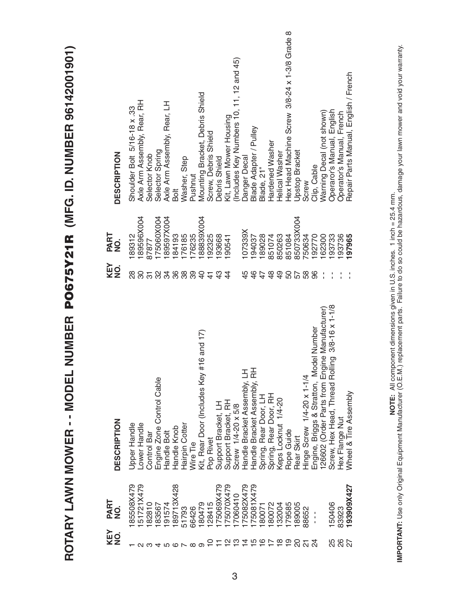| 189596X004<br>175060X004<br>189597X004<br>88839X004<br>850733X004<br>107339X<br>PART<br>176185<br>184193<br>176235<br>192325<br>194037<br>850263<br>189312<br>193668<br>189028<br>851074<br>192770<br>162300<br>193736<br>197965<br>851084<br>750634<br>193733<br>190541<br>87877<br>$\frac{1}{2}$<br>KEY<br>NO.<br>$\frac{8}{2}$<br>80<br>34<br>36<br>38<br>39<br>45<br>$\frac{6}{5}$<br>47<br>$\frac{8}{3}$<br>$\frac{6}{7}$<br>50<br>58<br>လ္က<br>$\frac{1}{2}$<br>$\frac{3}{4}$<br>57<br>96<br>$\frac{4}{4}$<br>5<br>$\frac{4}{4}$<br>$3/8 - 16 \times 1 - 1/8$<br>126602 (Order Parts from Engine Manufacturer)<br>Engine, Briggs & Stratton, Model Number<br>#16 and 17)<br>Screw, Hex Head, Thread Rolling<br>Handle Bracket Assembly, RH<br>Handle Bracket Assembly, LH<br>Kit, Rear Door (Includes Key<br>Hinge Screw 1/4-20 x 1-1/4<br>Engine Zone Control Cable<br>Wheel & Tire Assembly<br>Spring, Rear Door, RH<br>Spring, Rear Door, LH<br>Keps Locknut 1/4-20<br>Support Bracket, RH<br>Support Bracket, LH<br>Screw 1/4-20 x 5/8<br>Hex Flange Nut<br><b>DESCRIPTION</b><br>Hairpin Cotter<br>Upper Handle<br>Lower Handle<br>Handle Knob<br>Rope Guide<br>Handle Bolt<br>Control Bar<br>Rear Skirt<br>Pop Rivet<br>Wire Tie | <b>DESCRIPTION</b>    | Shoulder Bolt 5/16-18 x .33 | Axle Arm Assembly, Rear, RH | Selector Knob | Selector Spring | Axle Arm Assembly, Rear, LH | Bolt      | Washer, Step | Pushnut | Mounting Bracket, Debris Shield | Screw, Debris Shield | Debris Shield | Kit, Lawn Mower Housing | Includes Key Numbers 10, 11, 12 and 45) | Danger Decal | Blade Adapter / Pulley | Blade, 21" | Hardened Washer | Helical Washer | Hex Head Machine Screw 3/8-24 x 1-3/8 Grade 8 | Upstop Bracket | Screw | Clip, Cable   | Warning Decal (not shown) | Operaror's Manual, English | Operator's Manual, French | Repair Parts Manual, English / French |
|----------------------------------------------------------------------------------------------------------------------------------------------------------------------------------------------------------------------------------------------------------------------------------------------------------------------------------------------------------------------------------------------------------------------------------------------------------------------------------------------------------------------------------------------------------------------------------------------------------------------------------------------------------------------------------------------------------------------------------------------------------------------------------------------------------------------------------------------------------------------------------------------------------------------------------------------------------------------------------------------------------------------------------------------------------------------------------------------------------------------------------------------------------------------------------------------------------------------------------------------|-----------------------|-----------------------------|-----------------------------|---------------|-----------------|-----------------------------|-----------|--------------|---------|---------------------------------|----------------------|---------------|-------------------------|-----------------------------------------|--------------|------------------------|------------|-----------------|----------------|-----------------------------------------------|----------------|-------|---------------|---------------------------|----------------------------|---------------------------|---------------------------------------|
|                                                                                                                                                                                                                                                                                                                                                                                                                                                                                                                                                                                                                                                                                                                                                                                                                                                                                                                                                                                                                                                                                                                                                                                                                                              |                       |                             |                             |               |                 |                             |           |              |         |                                 |                      |               |                         |                                         |              |                        |            |                 |                |                                               |                |       |               |                           |                            |                           |                                       |
|                                                                                                                                                                                                                                                                                                                                                                                                                                                                                                                                                                                                                                                                                                                                                                                                                                                                                                                                                                                                                                                                                                                                                                                                                                              |                       |                             |                             |               |                 |                             |           |              |         |                                 |                      |               |                         |                                         |              |                        |            |                 |                |                                               |                |       |               |                           |                            |                           |                                       |
|                                                                                                                                                                                                                                                                                                                                                                                                                                                                                                                                                                                                                                                                                                                                                                                                                                                                                                                                                                                                                                                                                                                                                                                                                                              |                       |                             |                             |               |                 |                             |           |              |         |                                 |                      |               |                         |                                         |              |                        |            |                 |                |                                               |                |       |               |                           |                            |                           |                                       |
|                                                                                                                                                                                                                                                                                                                                                                                                                                                                                                                                                                                                                                                                                                                                                                                                                                                                                                                                                                                                                                                                                                                                                                                                                                              | PART<br>$\frac{1}{2}$ | 85508X479                   | 51721X479                   | 82810         | 83567           | 91574                       | 89713X428 | 51793        | 66426   | 80479                           | 128415               | 75069X479     | 75070X479               | 7060410                                 | 75082X479    | 75081X479              | 80071      | 80072           | 32004          | 79585                                         | 89005          | 38652 | $\frac{1}{1}$ |                           | 150406                     | 83923                     | 193909X427                            |

**ROTARY LAWN MOWER - - MODEL NUMBER PO675Y21R (MFG. ID. NUMBER 96142001901)**

ROTARY LAWN MOWER -- MODEL NUMBER PO675Y21R (MFG. ID. NUMBER 96142001901)

IMPORTANT: Use only Original Equipment Manufacturer (O.E.M.) replacement parts. Failure to do so could be hazardous, damage your lawn mower and void your warranty.<br>IMPORTANT: Use only Original Equipment Manufacturer (O.E.M **IMPORTANT:** Use only Original Equipment Manufacturer (O.E.M.) replacement parts. Failure to do so could be hazardous, damage your lawn mower and void your warranty.**NOTE:** All component dimensions given in U.S. inches. 1 inch = 25.4 mm.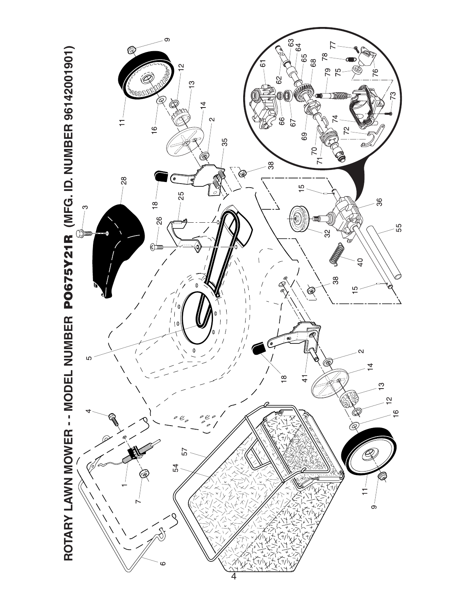